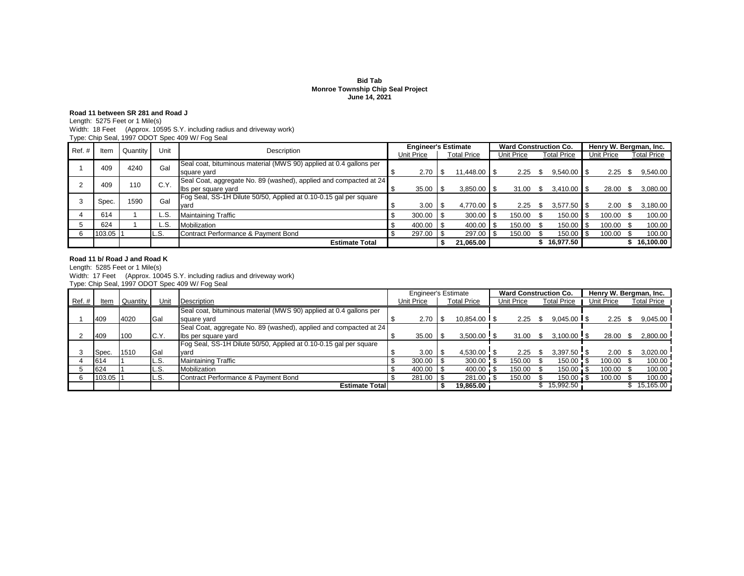### **Monroe Township Chip Seal Project June 14, 2021 Bid Tab**

## **Road 11 between SR 281 and Road J**

Length: 5275 Feet or 1 Mile(s)

Width: 18 Feet (Approx. 10595 S.Y. including radius and driveway work)

| Type: Chip Seal, 1997 ODOT Spec 409 W/ Fog Seal |  |
|-------------------------------------------------|--|
|-------------------------------------------------|--|

| Ref.# | ltem     | Quantity | Unit  | Description                                                        | <b>Engineer's Estimate</b>              |        |  |                 |  | <b>Ward Construction Co.</b> |    |                    |                   |        | Henry W. Bergman, Inc. |                    |
|-------|----------|----------|-------|--------------------------------------------------------------------|-----------------------------------------|--------|--|-----------------|--|------------------------------|----|--------------------|-------------------|--------|------------------------|--------------------|
|       |          |          |       |                                                                    | <b>Total Price</b><br><b>Unit Price</b> |        |  |                 |  | <b>Unit Price</b>            |    | <b>Total Price</b> | <b>Unit Price</b> |        |                        | <b>Total Price</b> |
|       | 409      | 4240     | Gal   | Seal coat, bituminous material (MWS 90) applied at 0.4 gallons per |                                         |        |  |                 |  |                              |    |                    |                   |        |                        |                    |
|       |          |          |       | square yard                                                        |                                         | 2.70   |  | $11.448.00$ S   |  | 2.25                         |    | $9,540.00$ \ \$    |                   | 2.25   | S                      | 9,540.00           |
|       | 409      | 110      | C.Y.  | Seal Coat, aggregate No. 89 (washed), applied and compacted at 24  |                                         |        |  |                 |  |                              |    |                    |                   |        |                        |                    |
|       |          |          |       | Ibs per square yard                                                |                                         | 35.00  |  | $3,850.00$ \ \$ |  | 31.00                        | -S | $3.410.00$ S       |                   | 28.00  | -S                     | 3,080.00           |
|       | Spec.    | 1590     | Gal   | Fog Seal, SS-1H Dilute 50/50, Applied at 0.10-0.15 gal per square  |                                         |        |  |                 |  |                              |    |                    |                   |        |                        |                    |
|       |          |          |       | yard                                                               |                                         | 3.00   |  | $4,770.00$ \ \$ |  | 2.25                         |    | $3,577.50$ \\$     |                   | 2.00   | - \$                   | 3,180.00           |
|       | 614      |          | L.S.  | <b>Maintaining Traffic</b>                                         |                                         | 300.00 |  | 300.00          |  | 150.00                       |    | 150.00             |                   | 100.00 |                        | 100.00             |
|       | 624      |          | L.S.  | Mobilization                                                       |                                         | 400.00 |  | 400.00          |  | 150.00                       |    | 150.00             |                   | 100.00 |                        | 100.00             |
| 6     | 103.05 1 |          | IL.S. | Contract Performance & Payment Bond                                |                                         | 297.00 |  | 297.00          |  | 150.00                       |    | 150.00             |                   | 100.00 |                        | 100.00             |
|       |          |          |       | <b>Estimate Total</b>                                              |                                         |        |  | 21,065.00       |  |                              |    | 16,977.50          |                   |        |                        | 16,100.00          |

### **Road 11 b/ Road J and Road K**

Length: 5285 Feet or 1 Mile(s)

Width: 17 Feet (Approx. 10045 S.Y. including radius and driveway work) Type: Chip Seal, 1997 ODOT Spec 409 W/ Fog Seal

|          |        |          |      |                                                                    | <b>Engineer's Estimate</b> |            |      |                    |  | <b>Ward Construction Co.</b> |                    |  | Henry W. Bergman, Inc. |      |             |
|----------|--------|----------|------|--------------------------------------------------------------------|----------------------------|------------|------|--------------------|--|------------------------------|--------------------|--|------------------------|------|-------------|
| $Ref.$ # | Item   | Quantity | Unit | Description                                                        |                            | Unit Price |      | <b>Total Price</b> |  | Unit Price                   | <b>Total Price</b> |  | Unit Price             |      | Total Price |
|          |        |          |      | Seal coat, bituminous material (MWS 90) applied at 0.4 gallons per |                            |            |      |                    |  |                              |                    |  |                        |      |             |
|          | 409    | 4020     | Gal  | square yard                                                        |                            | 2.70       | ∣ \$ | $10.854.00$ S      |  | 2.25                         | $9.045.00$ S       |  | 2.25                   |      | 9,045.00    |
|          |        |          |      | Seal Coat, aggregate No. 89 (washed), applied and compacted at 24  |                            |            |      |                    |  |                              |                    |  |                        |      |             |
|          | 409    | 100      | C.Y. | Ibs per square yard                                                |                            | 35.00      |      | $3.500.00$ \ \$    |  | 31.00                        | $3.100.00$ \ \$    |  | 28.00                  | - \$ | 2,800.00    |
|          |        |          |      | Fog Seal, SS-1H Dilute 50/50, Applied at 0.10-0.15 gal per square  |                            |            |      |                    |  |                              |                    |  |                        |      |             |
|          | Spec.  | 1510     | Gal  | vard                                                               |                            | 3.00       |      | 4,530.00 \$        |  | 2.25                         | $3,397.50$ \$      |  | 2.00                   |      | 3,020.00    |
|          | 614    |          | L.S. | <b>Maintaining Traffic</b>                                         |                            | 300.00     |      | 300.00             |  | 150.00                       | 150.00             |  | 100.00                 |      | 100.00      |
|          | 624    |          | L.S. | Mobilization                                                       |                            | 400.00     |      |                    |  | 150.00                       | 150.00 \$          |  | 100.00                 |      | 100.00      |
|          | 103.05 |          | L.S. | Contract Performance & Payment Bond                                |                            | 281.00     |      | 281.00 \$          |  | 150.00                       | 150.00             |  | 100.00                 |      | 100.00      |
|          |        |          |      | <b>Estimate Total</b>                                              |                            |            |      | 19.865.00          |  |                              | 15.992.50          |  |                        |      | 15.165.00   |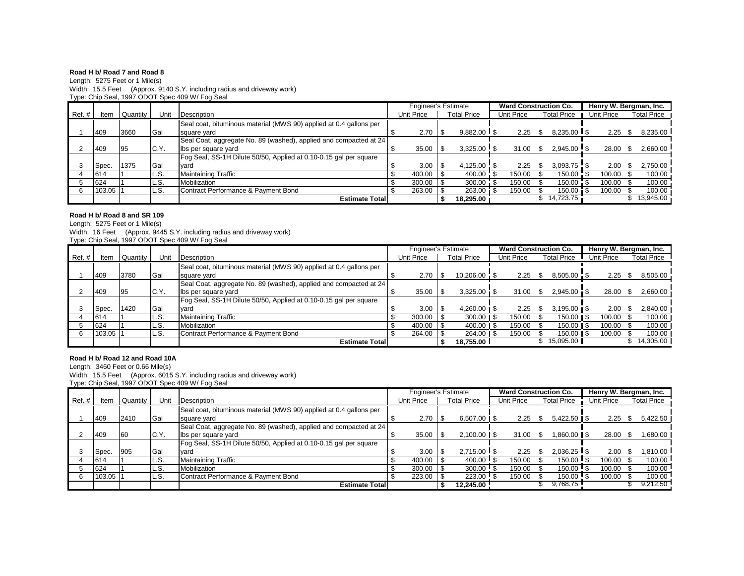## **Road H b/ Road 7 and Road 8**

Length: 5275 Feet or 1 Mile(s) Width: 15.5 Feet (Approx. 9140 S.Y. including radius and driveway work) Type: Chip Seal, 1997 ODOT Spec 409 W/ Fog Seal

|       |        |          |       |                                                                    | <b>Engineer's Estimate</b> |            |     |                    | <b>Ward Construction Co.</b> |                    |  | Henry W. Bergman, Inc. |      |                    |
|-------|--------|----------|-------|--------------------------------------------------------------------|----------------------------|------------|-----|--------------------|------------------------------|--------------------|--|------------------------|------|--------------------|
| Ref.# | Item   | Quantity | Unit  | Description                                                        |                            | Unit Price |     | <b>Total Price</b> | Unit Price                   | <b>Total Price</b> |  | Unit Price             |      | <b>Total Price</b> |
|       |        |          |       | Seal coat, bituminous material (MWS 90) applied at 0.4 gallons per |                            |            |     |                    |                              |                    |  |                        |      |                    |
|       | 409    | 3660     | Gal   | square yard                                                        |                            | 2.70       | l S | $9.882.00$ S       | 2.25                         | $8.235.00$ S       |  | 2.25                   |      | 8,235.00           |
|       |        |          |       | Seal Coat, aggregate No. 89 (washed), applied and compacted at 24  |                            |            |     |                    |                              |                    |  |                        |      |                    |
|       | 409    | 95       | C.Y.  | Ibs per square yard                                                |                            | 35.00      |     | $3,325.00$ \$      | $31.00$ \$                   | $2.945.00$ \ \$    |  | 28.00                  | - \$ | 2,660.00           |
|       |        |          |       | Fog Seal, SS-1H Dilute 50/50, Applied at 0.10-0.15 gal per square  |                            |            |     |                    |                              |                    |  |                        |      |                    |
|       | Spec.  | 1375     | Gal   | yard                                                               |                            | 3.00       |     | 4,125.00 \$        | 2.25                         | $3,093.75$ \$      |  | 2.00                   |      | 2,750.00           |
|       | 614    |          | L.S.  | <b>Maintaining Traffic</b>                                         |                            | 400.00     |     | 400.00 \$          | 150.00                       | 150.00 \$          |  | 100.00                 |      | 100.00             |
|       | 624    |          | IL.S. | Mobilization                                                       |                            | 300.00     |     | 300.00             | 150.00                       | $150.00$ \$        |  | 100.00 \$              |      | 100.00             |
|       | 103.05 |          | IL.S. | Contract Performance & Payment Bond                                |                            | 263.00     |     | 263.00             | 150.00                       | $150.00 \quad $$   |  | 100.00 \$              |      | 100.00             |
|       |        |          |       | <b>Estimate Total</b>                                              |                            |            |     | 18.295.00          |                              | 14.723.75          |  |                        |      | 13,945.00          |

# **Road H b/ Road 8 and SR 109**

Length: 5275 Feet or 1 Mile(s)

Width: 16 Feet (Approx. 9445 S.Y. including radius and driveway work) Type: Chip Seal, 1997 ODOT Spec 409 W/ Fog Seal

|        |        |          |       |                                                                    | <b>Engineer's Estimate</b> |                    | <b>Ward Construction Co.</b> |                            | Henry W. Bergman, Inc. |            |      |                    |
|--------|--------|----------|-------|--------------------------------------------------------------------|----------------------------|--------------------|------------------------------|----------------------------|------------------------|------------|------|--------------------|
| Ref. # | Item   | Quantity | Unit  | Description                                                        | Unit Price                 | <b>Total Price</b> | Unit Price                   | <b>Total Price</b>         |                        | Unit Price |      | <b>Total Price</b> |
|        |        |          |       | Seal coat, bituminous material (MWS 90) applied at 0.4 gallons per |                            |                    |                              |                            |                        |            |      |                    |
|        | 409    | 3780     | Gal   | square yard                                                        | 2.70                       | 10,206.00 \$       | 2.25                         | 8.505.00 \$                |                        | 2.25       | S.   | 8,505.00           |
|        |        |          |       | Seal Coat, aggregate No. 89 (washed), applied and compacted at 24  |                            |                    |                              |                            |                        |            |      |                    |
|        | 409    | -95      | C.Y.  | Ibs per square yard                                                | 35.00                      | $3,325.00$ \$      | $31.00$ \$                   | $2.945.00$ \$              |                        | 28.00      | - \$ | 2,660.00           |
|        |        |          |       | Fog Seal, SS-1H Dilute 50/50, Applied at 0.10-0.15 gal per square  |                            |                    |                              |                            |                        |            |      |                    |
|        | Spec.  | 1420     | Gal   | vard                                                               | 3.00                       | $4,260.00$   \$    | 2.25                         | $3.195.00 \text{ J}$       |                        | 2.00       |      | 2,840.00           |
|        | 614    |          | L.S.  | <b>Maintaining Traffic</b>                                         | 300.00                     | $300.00$   \$      | 150.00                       | $150.00$ I \$              |                        | 100.00     |      | 100.00             |
|        | 624    |          | IL.S. | Mobilization                                                       | 400.00                     | $400.00$ S         | 150.00                       | $150.00$ $\blacksquare$ \$ |                        | 100.00     |      | 100.00             |
|        | 103.05 |          | L.S.  | Contract Performance & Payment Bond                                | 264.00                     | $264.00$ \ \$      | 150.00                       | $150.00$ \ \$              |                        | 100.00     |      | 100.00             |
|        |        |          |       | <b>Estimate Total</b>                                              |                            | 18.755.00          |                              | 15.095.00                  |                        |            |      | 14.305.00          |

## **Road H b/ Road 12 and Road 10A**

Length: 3460 Feet or 0.66 Mile(s)

Width: 15.5 Feet (Approx. 6015 S.Y. including radius and driveway work) Type: Chip Seal, 1997 ODOT Spec 409 W/ Fog Seal

|       |        |          |            |                                                                    | <b>Engineer's Estimate</b> |            |  |               |  | <b>Ward Construction Co.</b> |                    |             | Henry W. Bergman, Inc. |                    |
|-------|--------|----------|------------|--------------------------------------------------------------------|----------------------------|------------|--|---------------|--|------------------------------|--------------------|-------------|------------------------|--------------------|
| Ref.# | ltem   | Quantity | Unit       | Description                                                        |                            | Unit Price |  | Total Price   |  | Unit Price                   | <b>Total Price</b> | Unit Price  |                        | <b>Total Price</b> |
|       |        |          |            | Seal coat, bituminous material (MWS 90) applied at 0.4 gallons per |                            |            |  |               |  |                              |                    |             |                        |                    |
|       | 409    | 2410     | <b>Gal</b> | square yard                                                        |                            | 2.70       |  | $6.507.00$ IS |  | 2.25                         | $5.422.50$ IS      | 2.25        | - \$                   | 5,422.50           |
|       |        |          |            | Seal Coat, aggregate No. 89 (washed), applied and compacted at 24  |                            |            |  |               |  |                              |                    |             |                        |                    |
|       | 409    | 60       | C.Y.       | Ibs per square yard                                                |                            | 35.00      |  |               |  | 31.00                        | $.860.00$ \ \$     | 28.00       |                        | .680.00            |
|       |        |          |            | Fog Seal, SS-1H Dilute 50/50, Applied at 0.10-0.15 gal per square  |                            |            |  |               |  |                              |                    |             |                        |                    |
|       | Spec.  | 905      | Gal        | vard                                                               |                            | 3.00       |  | $2.715.00$ S  |  | 2.25                         | $2.036.25$ S       | 2.00        |                        | ا 810.00.          |
|       | 614    |          | L.S.       | <b>Maintaining Traffic</b>                                         |                            | 400.00     |  | $400.00$ S    |  | 150.00                       | 150.00             | $100.00$ \$ |                        | 100.00             |
|       | 624    |          | L.S.       | Mobilization                                                       |                            | 300.00     |  | 300.00        |  | 150.00                       | $150.00$ \$        | $100.00$ \$ |                        | 100.00             |
|       | 103.05 |          | L.S.       | Contract Performance & Payment Bond                                |                            | 223.00     |  | 223.00        |  | 150.00                       | $150.00$ !         | $100.00$ \$ |                        | 100.00             |
|       |        |          |            | <b>Estimate Total</b>                                              |                            |            |  | 12.245.00     |  |                              | 9,768.75           |             |                        | 9,212.50           |